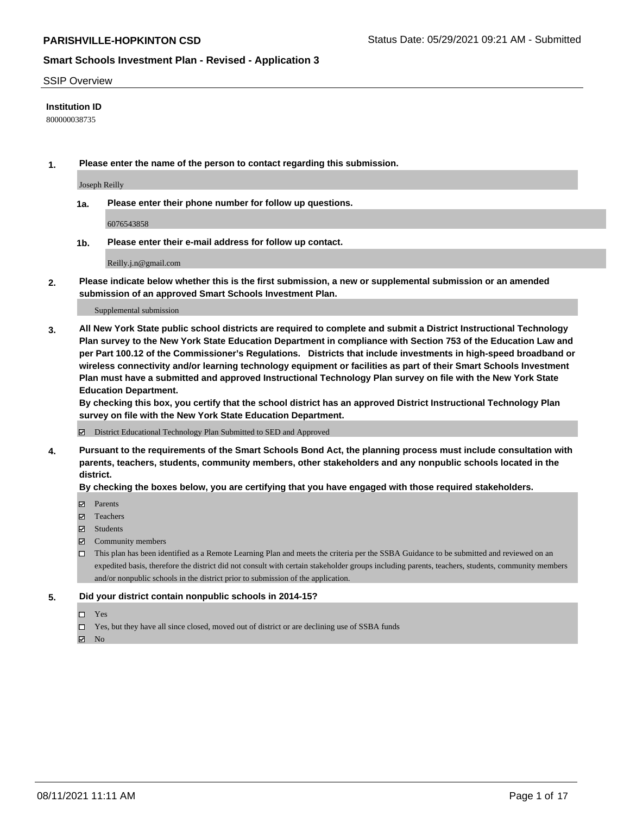#### SSIP Overview

#### **Institution ID**

800000038735

**1. Please enter the name of the person to contact regarding this submission.**

Joseph Reilly

**1a. Please enter their phone number for follow up questions.**

6076543858

**1b. Please enter their e-mail address for follow up contact.**

Reilly.j.n@gmail.com

**2. Please indicate below whether this is the first submission, a new or supplemental submission or an amended submission of an approved Smart Schools Investment Plan.**

#### Supplemental submission

**3. All New York State public school districts are required to complete and submit a District Instructional Technology Plan survey to the New York State Education Department in compliance with Section 753 of the Education Law and per Part 100.12 of the Commissioner's Regulations. Districts that include investments in high-speed broadband or wireless connectivity and/or learning technology equipment or facilities as part of their Smart Schools Investment Plan must have a submitted and approved Instructional Technology Plan survey on file with the New York State Education Department.** 

**By checking this box, you certify that the school district has an approved District Instructional Technology Plan survey on file with the New York State Education Department.**

District Educational Technology Plan Submitted to SED and Approved

**4. Pursuant to the requirements of the Smart Schools Bond Act, the planning process must include consultation with parents, teachers, students, community members, other stakeholders and any nonpublic schools located in the district.** 

#### **By checking the boxes below, you are certifying that you have engaged with those required stakeholders.**

- **Parents**
- Teachers
- Students
- $\boxtimes$  Community members
- This plan has been identified as a Remote Learning Plan and meets the criteria per the SSBA Guidance to be submitted and reviewed on an expedited basis, therefore the district did not consult with certain stakeholder groups including parents, teachers, students, community members and/or nonpublic schools in the district prior to submission of the application.
- **5. Did your district contain nonpublic schools in 2014-15?**
	- □ Yes
	- □ Yes, but they have all since closed, moved out of district or are declining use of SSBA funds

 $M$  No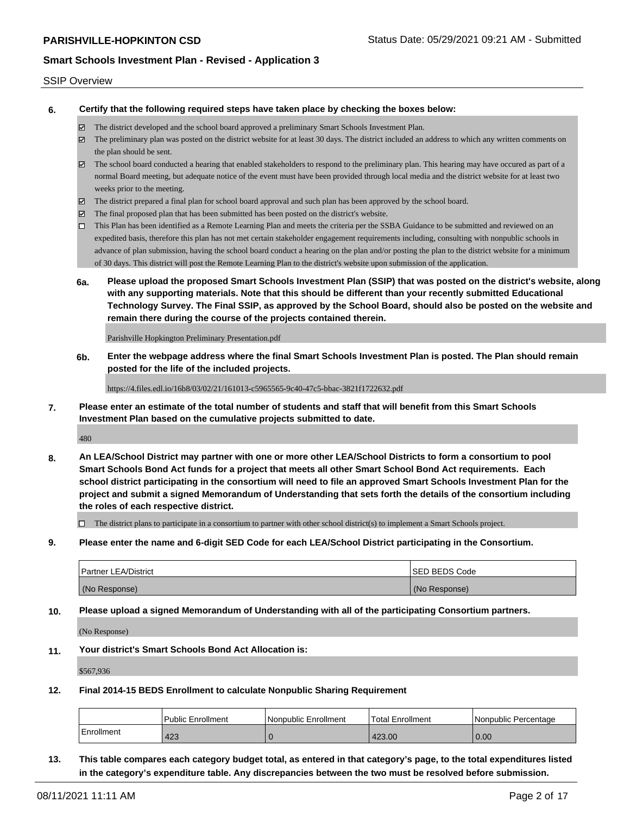#### SSIP Overview

**6. Certify that the following required steps have taken place by checking the boxes below:**

- The district developed and the school board approved a preliminary Smart Schools Investment Plan.
- The preliminary plan was posted on the district website for at least 30 days. The district included an address to which any written comments on the plan should be sent.
- The school board conducted a hearing that enabled stakeholders to respond to the preliminary plan. This hearing may have occured as part of a normal Board meeting, but adequate notice of the event must have been provided through local media and the district website for at least two weeks prior to the meeting.
- The district prepared a final plan for school board approval and such plan has been approved by the school board.
- $\boxtimes$  The final proposed plan that has been submitted has been posted on the district's website.
- This Plan has been identified as a Remote Learning Plan and meets the criteria per the SSBA Guidance to be submitted and reviewed on an expedited basis, therefore this plan has not met certain stakeholder engagement requirements including, consulting with nonpublic schools in advance of plan submission, having the school board conduct a hearing on the plan and/or posting the plan to the district website for a minimum of 30 days. This district will post the Remote Learning Plan to the district's website upon submission of the application.
- **6a. Please upload the proposed Smart Schools Investment Plan (SSIP) that was posted on the district's website, along with any supporting materials. Note that this should be different than your recently submitted Educational Technology Survey. The Final SSIP, as approved by the School Board, should also be posted on the website and remain there during the course of the projects contained therein.**

Parishville Hopkington Preliminary Presentation.pdf

**6b. Enter the webpage address where the final Smart Schools Investment Plan is posted. The Plan should remain posted for the life of the included projects.**

https://4.files.edl.io/16b8/03/02/21/161013-c5965565-9c40-47c5-bbac-3821f1722632.pdf

**7. Please enter an estimate of the total number of students and staff that will benefit from this Smart Schools Investment Plan based on the cumulative projects submitted to date.**

480

**8. An LEA/School District may partner with one or more other LEA/School Districts to form a consortium to pool Smart Schools Bond Act funds for a project that meets all other Smart School Bond Act requirements. Each school district participating in the consortium will need to file an approved Smart Schools Investment Plan for the project and submit a signed Memorandum of Understanding that sets forth the details of the consortium including the roles of each respective district.**

 $\Box$  The district plans to participate in a consortium to partner with other school district(s) to implement a Smart Schools project.

**9. Please enter the name and 6-digit SED Code for each LEA/School District participating in the Consortium.**

| <b>Partner LEA/District</b> | <b>ISED BEDS Code</b> |
|-----------------------------|-----------------------|
| (No Response)               | (No Response)         |

**10. Please upload a signed Memorandum of Understanding with all of the participating Consortium partners.**

(No Response)

**11. Your district's Smart Schools Bond Act Allocation is:**

\$567,936

**12. Final 2014-15 BEDS Enrollment to calculate Nonpublic Sharing Requirement**

|              | Public Enrollment | Nonpublic Enrollment | Total Enrollment | l Nonpublic Percentage |
|--------------|-------------------|----------------------|------------------|------------------------|
| l Enrollment | 423               |                      | 423.00           | 0.00                   |

**13. This table compares each category budget total, as entered in that category's page, to the total expenditures listed in the category's expenditure table. Any discrepancies between the two must be resolved before submission.**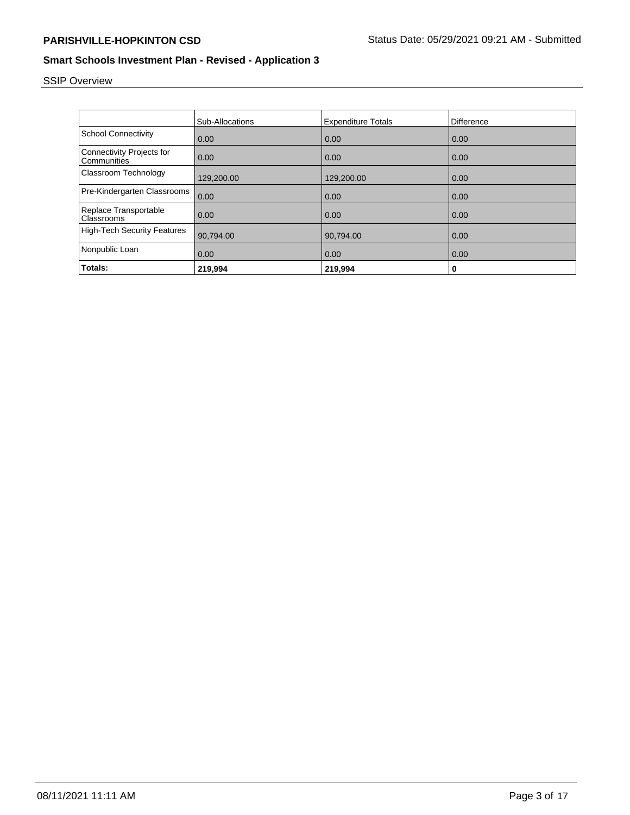# SSIP Overview

|                                                 | <b>Sub-Allocations</b> | <b>Expenditure Totals</b> | Difference |
|-------------------------------------------------|------------------------|---------------------------|------------|
| <b>School Connectivity</b>                      | 0.00                   | 0.00                      | 0.00       |
| <b>Connectivity Projects for</b><br>Communities | 0.00                   | 0.00                      | 0.00       |
| Classroom Technology                            | 129,200.00             | 129,200.00                | 0.00       |
| Pre-Kindergarten Classrooms                     | 0.00                   | 0.00                      | 0.00       |
| Replace Transportable<br>Classrooms             | 0.00                   | 0.00                      | 0.00       |
| <b>High-Tech Security Features</b>              | 90,794.00              | 90,794.00                 | 0.00       |
| Nonpublic Loan                                  | 0.00                   | 0.00                      | 0.00       |
| Totals:                                         | 219,994                | 219,994                   | 0          |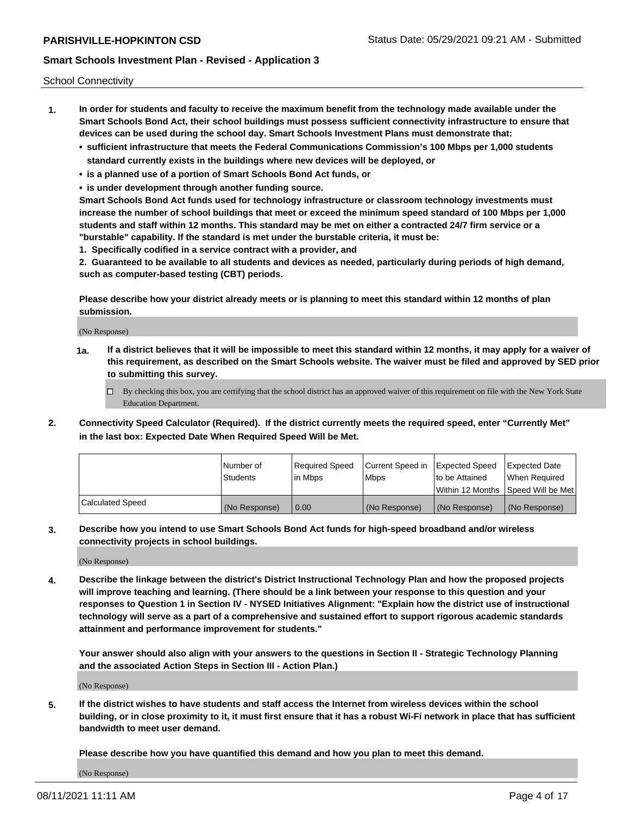School Connectivity

- **1. In order for students and faculty to receive the maximum benefit from the technology made available under the Smart Schools Bond Act, their school buildings must possess sufficient connectivity infrastructure to ensure that devices can be used during the school day. Smart Schools Investment Plans must demonstrate that:**
	- **• sufficient infrastructure that meets the Federal Communications Commission's 100 Mbps per 1,000 students standard currently exists in the buildings where new devices will be deployed, or**
	- **• is a planned use of a portion of Smart Schools Bond Act funds, or**
	- **• is under development through another funding source.**

**Smart Schools Bond Act funds used for technology infrastructure or classroom technology investments must increase the number of school buildings that meet or exceed the minimum speed standard of 100 Mbps per 1,000 students and staff within 12 months. This standard may be met on either a contracted 24/7 firm service or a "burstable" capability. If the standard is met under the burstable criteria, it must be:**

**1. Specifically codified in a service contract with a provider, and**

**2. Guaranteed to be available to all students and devices as needed, particularly during periods of high demand, such as computer-based testing (CBT) periods.**

**Please describe how your district already meets or is planning to meet this standard within 12 months of plan submission.**

(No Response)

**1a. If a district believes that it will be impossible to meet this standard within 12 months, it may apply for a waiver of this requirement, as described on the Smart Schools website. The waiver must be filed and approved by SED prior to submitting this survey.**

 $\Box$  By checking this box, you are certifying that the school district has an approved waiver of this requirement on file with the New York State Education Department.

**2. Connectivity Speed Calculator (Required). If the district currently meets the required speed, enter "Currently Met" in the last box: Expected Date When Required Speed Will be Met.**

|                  | l Number of     | Reauired Speed | Current Speed in | Expected Speed | Expected Date                       |
|------------------|-----------------|----------------|------------------|----------------|-------------------------------------|
|                  | <b>Students</b> | l in Mbps      | l Mbps           | to be Attained | When Required                       |
|                  |                 |                |                  |                | Within 12 Months ISpeed Will be Met |
| Calculated Speed | (No Response)   | 0.00           | (No Response)    | (No Response)  | (No Response)                       |

**3. Describe how you intend to use Smart Schools Bond Act funds for high-speed broadband and/or wireless connectivity projects in school buildings.**

(No Response)

**4. Describe the linkage between the district's District Instructional Technology Plan and how the proposed projects will improve teaching and learning. (There should be a link between your response to this question and your responses to Question 1 in Section IV - NYSED Initiatives Alignment: "Explain how the district use of instructional technology will serve as a part of a comprehensive and sustained effort to support rigorous academic standards attainment and performance improvement for students."** 

**Your answer should also align with your answers to the questions in Section II - Strategic Technology Planning and the associated Action Steps in Section III - Action Plan.)**

(No Response)

**5. If the district wishes to have students and staff access the Internet from wireless devices within the school building, or in close proximity to it, it must first ensure that it has a robust Wi-Fi network in place that has sufficient bandwidth to meet user demand.**

**Please describe how you have quantified this demand and how you plan to meet this demand.**

(No Response)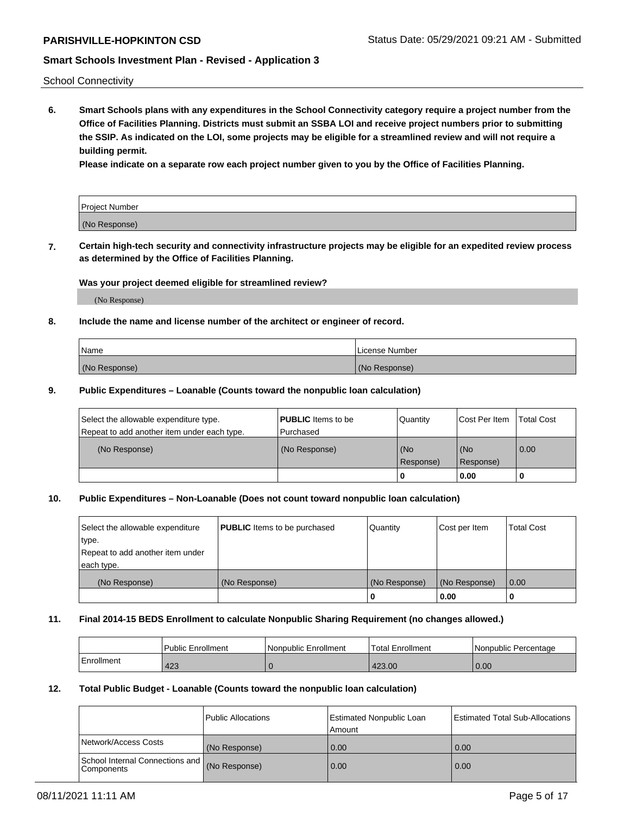School Connectivity

**6. Smart Schools plans with any expenditures in the School Connectivity category require a project number from the Office of Facilities Planning. Districts must submit an SSBA LOI and receive project numbers prior to submitting the SSIP. As indicated on the LOI, some projects may be eligible for a streamlined review and will not require a building permit.**

**Please indicate on a separate row each project number given to you by the Office of Facilities Planning.**

| Project Number |  |
|----------------|--|
| (No Response)  |  |

**7. Certain high-tech security and connectivity infrastructure projects may be eligible for an expedited review process as determined by the Office of Facilities Planning.**

#### **Was your project deemed eligible for streamlined review?**

(No Response)

#### **8. Include the name and license number of the architect or engineer of record.**

| Name          | License Number |
|---------------|----------------|
| (No Response) | (No Response)  |

#### **9. Public Expenditures – Loanable (Counts toward the nonpublic loan calculation)**

| Select the allowable expenditure type.<br>Repeat to add another item under each type. | <b>PUBLIC</b> Items to be<br>l Purchased | Quantity           | Cost Per Item    | <b>Total Cost</b> |
|---------------------------------------------------------------------------------------|------------------------------------------|--------------------|------------------|-------------------|
| (No Response)                                                                         | (No Response)                            | l (No<br>Response) | (No<br>Response) | $\overline{0.00}$ |
|                                                                                       |                                          | O                  | 0.00             |                   |

### **10. Public Expenditures – Non-Loanable (Does not count toward nonpublic loan calculation)**

| Select the allowable expenditure<br>type.<br>Repeat to add another item under<br>each type. | <b>PUBLIC</b> Items to be purchased | Quantity      | Cost per Item | <b>Total Cost</b> |
|---------------------------------------------------------------------------------------------|-------------------------------------|---------------|---------------|-------------------|
| (No Response)                                                                               | (No Response)                       | (No Response) | (No Response) | 0.00              |
|                                                                                             |                                     |               | 0.00          |                   |

#### **11. Final 2014-15 BEDS Enrollment to calculate Nonpublic Sharing Requirement (no changes allowed.)**

|            | l Public Enrollment | Nonpublic Enrollment | 'Total Enrollment | l Nonpublic Percentage |
|------------|---------------------|----------------------|-------------------|------------------------|
| Enrollment | 423                 |                      | 423.00            | 0.00                   |

#### **12. Total Public Budget - Loanable (Counts toward the nonpublic loan calculation)**

|                                                 | Public Allocations | Estimated Nonpublic Loan<br>Amount | <b>Estimated Total Sub-Allocations</b> |
|-------------------------------------------------|--------------------|------------------------------------|----------------------------------------|
| Network/Access Costs                            | (No Response)      | 0.00                               | 0.00                                   |
| School Internal Connections and<br>l Components | (No Response)      | 0.00                               | 0.00                                   |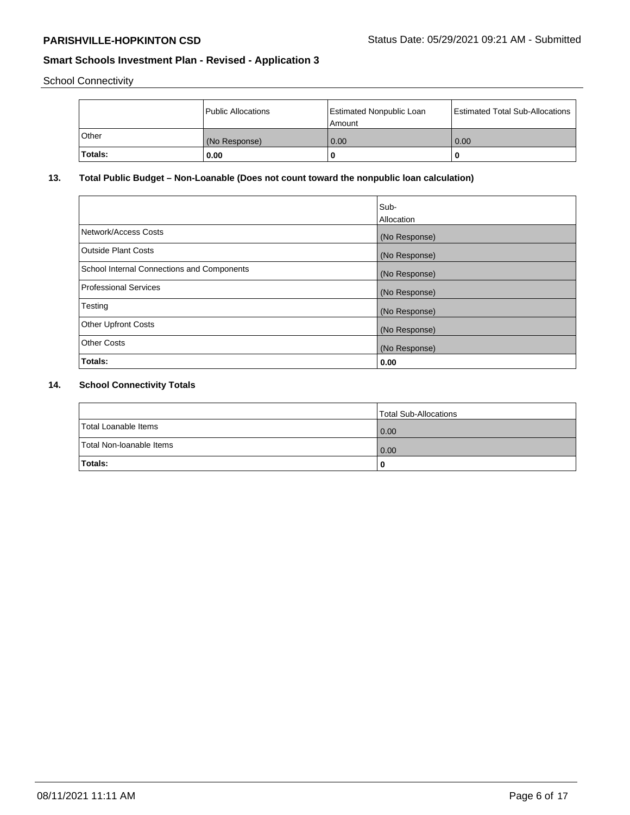School Connectivity

|              | <b>Public Allocations</b> | <b>Estimated Nonpublic Loan</b><br>l Amount | <b>Estimated Total Sub-Allocations</b> |
|--------------|---------------------------|---------------------------------------------|----------------------------------------|
| <b>Other</b> | (No Response)             | 0.00                                        | 0.00                                   |
| Totals:      | 0.00                      | 0                                           | ш                                      |

# **13. Total Public Budget – Non-Loanable (Does not count toward the nonpublic loan calculation)**

|                                                   | Sub-<br>Allocation |
|---------------------------------------------------|--------------------|
| Network/Access Costs                              | (No Response)      |
| <b>Outside Plant Costs</b>                        | (No Response)      |
| <b>School Internal Connections and Components</b> | (No Response)      |
| Professional Services                             | (No Response)      |
| Testing                                           | (No Response)      |
| <b>Other Upfront Costs</b>                        | (No Response)      |
| <b>Other Costs</b>                                | (No Response)      |
| Totals:                                           | 0.00               |

# **14. School Connectivity Totals**

|                          | Total Sub-Allocations |
|--------------------------|-----------------------|
| Total Loanable Items     | 0.00                  |
| Total Non-Ioanable Items | 0.00                  |
| Totals:                  | 0                     |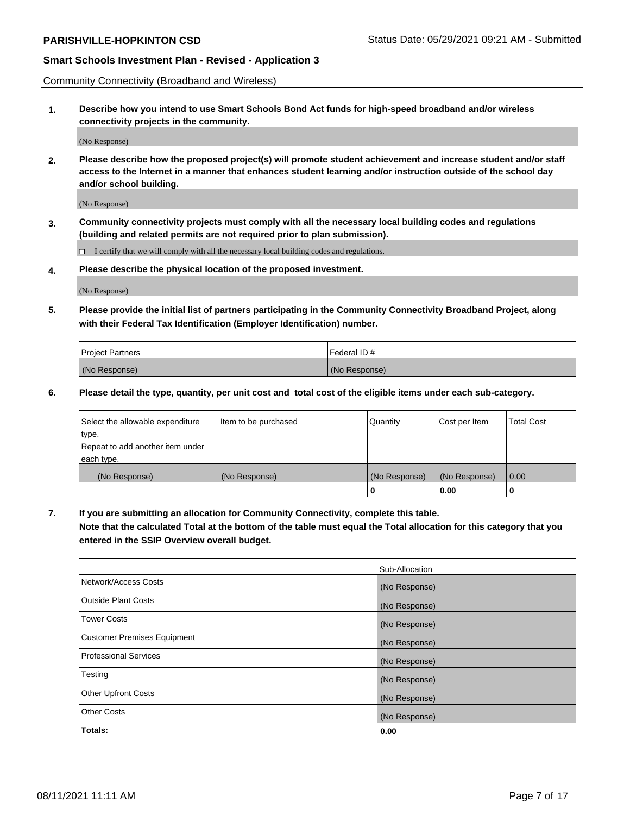Community Connectivity (Broadband and Wireless)

**1. Describe how you intend to use Smart Schools Bond Act funds for high-speed broadband and/or wireless connectivity projects in the community.**

(No Response)

**2. Please describe how the proposed project(s) will promote student achievement and increase student and/or staff access to the Internet in a manner that enhances student learning and/or instruction outside of the school day and/or school building.**

(No Response)

**3. Community connectivity projects must comply with all the necessary local building codes and regulations (building and related permits are not required prior to plan submission).**

 $\Box$  I certify that we will comply with all the necessary local building codes and regulations.

**4. Please describe the physical location of the proposed investment.**

(No Response)

**5. Please provide the initial list of partners participating in the Community Connectivity Broadband Project, along with their Federal Tax Identification (Employer Identification) number.**

| <b>Project Partners</b> | l Federal ID # |
|-------------------------|----------------|
| (No Response)           | (No Response)  |

**6. Please detail the type, quantity, per unit cost and total cost of the eligible items under each sub-category.**

| Select the allowable expenditure | Item to be purchased | Quantity      | Cost per Item | <b>Total Cost</b> |
|----------------------------------|----------------------|---------------|---------------|-------------------|
| type.                            |                      |               |               |                   |
| Repeat to add another item under |                      |               |               |                   |
| each type.                       |                      |               |               |                   |
| (No Response)                    | (No Response)        | (No Response) | (No Response) | 0.00              |
|                                  |                      | o             | 0.00          |                   |

**7. If you are submitting an allocation for Community Connectivity, complete this table.**

**Note that the calculated Total at the bottom of the table must equal the Total allocation for this category that you entered in the SSIP Overview overall budget.**

|                                    | Sub-Allocation |
|------------------------------------|----------------|
| Network/Access Costs               | (No Response)  |
| Outside Plant Costs                | (No Response)  |
| <b>Tower Costs</b>                 | (No Response)  |
| <b>Customer Premises Equipment</b> | (No Response)  |
| <b>Professional Services</b>       | (No Response)  |
| Testing                            | (No Response)  |
| <b>Other Upfront Costs</b>         | (No Response)  |
| <b>Other Costs</b>                 | (No Response)  |
| Totals:                            | 0.00           |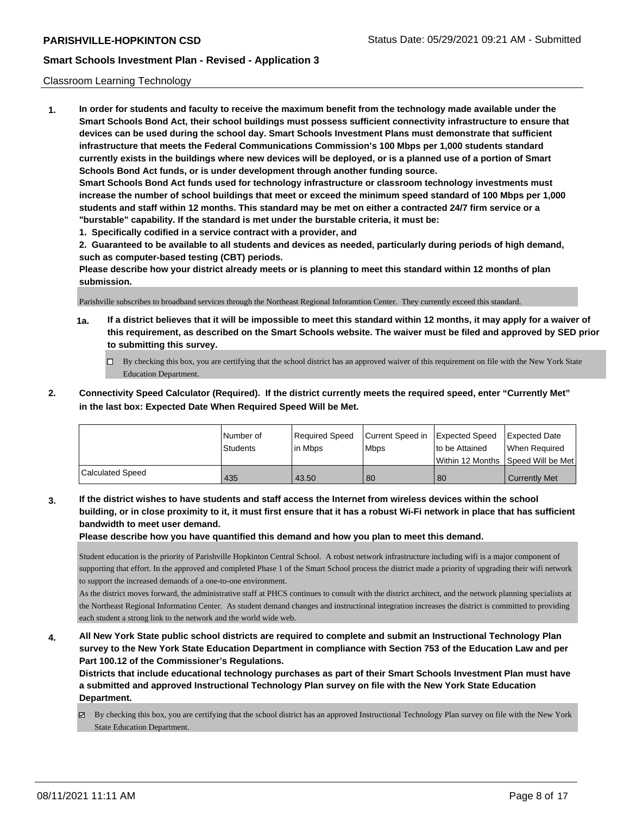#### Classroom Learning Technology

**1. In order for students and faculty to receive the maximum benefit from the technology made available under the Smart Schools Bond Act, their school buildings must possess sufficient connectivity infrastructure to ensure that devices can be used during the school day. Smart Schools Investment Plans must demonstrate that sufficient infrastructure that meets the Federal Communications Commission's 100 Mbps per 1,000 students standard currently exists in the buildings where new devices will be deployed, or is a planned use of a portion of Smart Schools Bond Act funds, or is under development through another funding source. Smart Schools Bond Act funds used for technology infrastructure or classroom technology investments must increase the number of school buildings that meet or exceed the minimum speed standard of 100 Mbps per 1,000 students and staff within 12 months. This standard may be met on either a contracted 24/7 firm service or a "burstable" capability. If the standard is met under the burstable criteria, it must be: 1. Specifically codified in a service contract with a provider, and**

**2. Guaranteed to be available to all students and devices as needed, particularly during periods of high demand, such as computer-based testing (CBT) periods.**

**Please describe how your district already meets or is planning to meet this standard within 12 months of plan submission.**

Parishville subscribes to broadband services through the Northeast Regional Inforamtion Center. They currently exceed this standard.

- **1a. If a district believes that it will be impossible to meet this standard within 12 months, it may apply for a waiver of this requirement, as described on the Smart Schools website. The waiver must be filed and approved by SED prior to submitting this survey.**
	- By checking this box, you are certifying that the school district has an approved waiver of this requirement on file with the New York State Education Department.
- **2. Connectivity Speed Calculator (Required). If the district currently meets the required speed, enter "Currently Met" in the last box: Expected Date When Required Speed Will be Met.**

|                         | l Number of     | Required Speed | Current Speed in Expected Speed |                | <b>Expected Date</b>                    |
|-------------------------|-----------------|----------------|---------------------------------|----------------|-----------------------------------------|
|                         | <b>Students</b> | lin Mbps       | <b>Mbps</b>                     | to be Attained | When Required                           |
|                         |                 |                |                                 |                | l Within 12 Months ISpeed Will be Met l |
| <b>Calculated Speed</b> | 435             | 43.50          | 80                              | 80             | <b>Currently Met</b>                    |

**3. If the district wishes to have students and staff access the Internet from wireless devices within the school building, or in close proximity to it, it must first ensure that it has a robust Wi-Fi network in place that has sufficient bandwidth to meet user demand.**

**Please describe how you have quantified this demand and how you plan to meet this demand.**

Student education is the priority of Parishville Hopkinton Central School. A robust network infrastructure including wifi is a major component of supporting that effort. In the approved and completed Phase 1 of the Smart School process the district made a priority of upgrading their wifi network to support the increased demands of a one-to-one environment.

As the district moves forward, the administrative staff at PHCS continues to consult with the district architect, and the network planning specialists at the Northeast Regional Information Center. As student demand changes and instructional integration increases the district is committed to providing each student a strong link to the network and the world wide web.

**4. All New York State public school districts are required to complete and submit an Instructional Technology Plan survey to the New York State Education Department in compliance with Section 753 of the Education Law and per Part 100.12 of the Commissioner's Regulations.**

**Districts that include educational technology purchases as part of their Smart Schools Investment Plan must have a submitted and approved Instructional Technology Plan survey on file with the New York State Education Department.**

 $\boxtimes$  By checking this box, you are certifying that the school district has an approved Instructional Technology Plan survey on file with the New York State Education Department.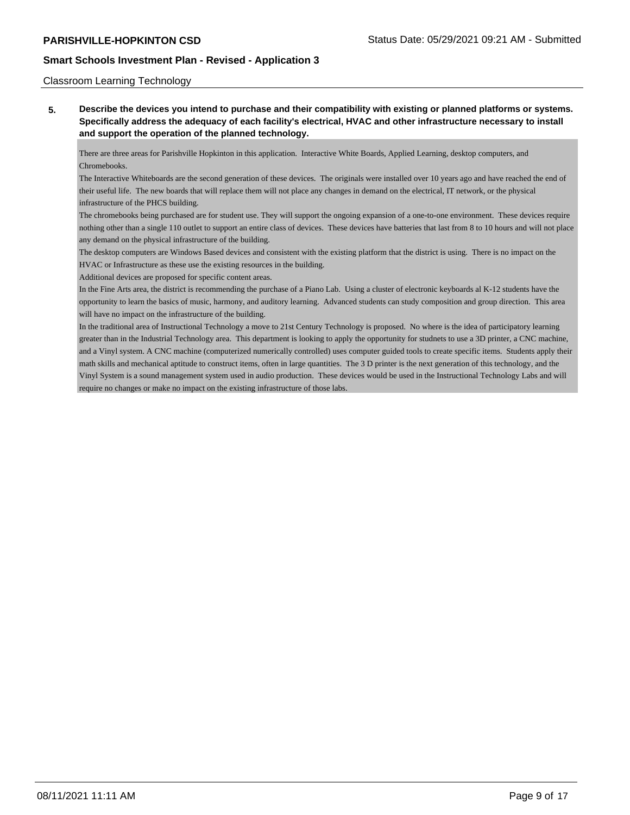#### Classroom Learning Technology

**5. Describe the devices you intend to purchase and their compatibility with existing or planned platforms or systems. Specifically address the adequacy of each facility's electrical, HVAC and other infrastructure necessary to install and support the operation of the planned technology.**

There are three areas for Parishville Hopkinton in this application. Interactive White Boards, Applied Learning, desktop computers, and Chromebooks.

The Interactive Whiteboards are the second generation of these devices. The originals were installed over 10 years ago and have reached the end of their useful life. The new boards that will replace them will not place any changes in demand on the electrical, IT network, or the physical infrastructure of the PHCS building.

The chromebooks being purchased are for student use. They will support the ongoing expansion of a one-to-one environment. These devices require nothing other than a single 110 outlet to support an entire class of devices. These devices have batteries that last from 8 to 10 hours and will not place any demand on the physical infrastructure of the building.

The desktop computers are Windows Based devices and consistent with the existing platform that the district is using. There is no impact on the HVAC or Infrastructure as these use the existing resources in the building.

Additional devices are proposed for specific content areas.

In the Fine Arts area, the district is recommending the purchase of a Piano Lab. Using a cluster of electronic keyboards al K-12 students have the opportunity to learn the basics of music, harmony, and auditory learning. Advanced students can study composition and group direction. This area will have no impact on the infrastructure of the building.

In the traditional area of Instructional Technology a move to 21st Century Technology is proposed. No where is the idea of participatory learning greater than in the Industrial Technology area. This department is looking to apply the opportunity for studnets to use a 3D printer, a CNC machine, and a Vinyl system. A CNC machine (computerized numerically controlled) uses computer guided tools to create specific items. Students apply their math skills and mechanical aptitude to construct items, often in large quantities. The 3 D printer is the next generation of this technology, and the Vinyl System is a sound management system used in audio production. These devices would be used in the Instructional Technology Labs and will require no changes or make no impact on the existing infrastructure of those labs.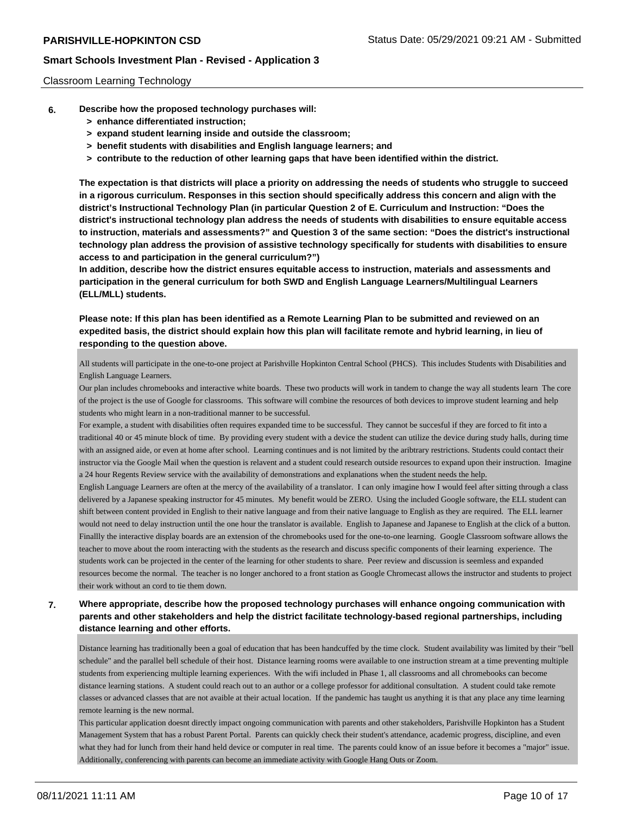#### Classroom Learning Technology

- **6. Describe how the proposed technology purchases will:**
	- **> enhance differentiated instruction;**
	- **> expand student learning inside and outside the classroom;**
	- **> benefit students with disabilities and English language learners; and**
	- **> contribute to the reduction of other learning gaps that have been identified within the district.**

**The expectation is that districts will place a priority on addressing the needs of students who struggle to succeed in a rigorous curriculum. Responses in this section should specifically address this concern and align with the district's Instructional Technology Plan (in particular Question 2 of E. Curriculum and Instruction: "Does the district's instructional technology plan address the needs of students with disabilities to ensure equitable access to instruction, materials and assessments?" and Question 3 of the same section: "Does the district's instructional technology plan address the provision of assistive technology specifically for students with disabilities to ensure access to and participation in the general curriculum?")**

**In addition, describe how the district ensures equitable access to instruction, materials and assessments and participation in the general curriculum for both SWD and English Language Learners/Multilingual Learners (ELL/MLL) students.**

**Please note: If this plan has been identified as a Remote Learning Plan to be submitted and reviewed on an expedited basis, the district should explain how this plan will facilitate remote and hybrid learning, in lieu of responding to the question above.**

All students will participate in the one-to-one project at Parishville Hopkinton Central School (PHCS). This includes Students with Disabilities and English Language Learners.

Our plan includes chromebooks and interactive white boards. These two products will work in tandem to change the way all students learn The core of the project is the use of Google for classrooms. This software will combine the resources of both devices to improve student learning and help students who might learn in a non-traditional manner to be successful.

For example, a student with disabilities often requires expanded time to be successful. They cannot be succesful if they are forced to fit into a traditional 40 or 45 minute block of time. By providing every student with a device the student can utilize the device during study halls, during time with an assigned aide, or even at home after school. Learning continues and is not limited by the aribtrary restrictions. Students could contact their instructor via the Google Mail when the question is relavent and a student could research outside resources to expand upon their instruction. Imagine a 24 hour Regents Review service with the availability of demonstrations and explanations when the student needs the help.

English Language Learners are often at the mercy of the availability of a translator. I can only imagine how I would feel after sitting through a class delivered by a Japanese speaking instructor for 45 minutes. My benefit would be ZERO. Using the included Google software, the ELL student can shift between content provided in English to their native language and from their native language to English as they are required. The ELL learner would not need to delay instruction until the one hour the translator is available. English to Japanese and Japanese to English at the click of a button. Finallly the interactive display boards are an extension of the chromebooks used for the one-to-one learning. Google Classroom software allows the teacher to move about the room interacting with the students as the research and discuss specific components of their learning experience. The students work can be projected in the center of the learning for other students to share. Peer review and discussion is seemless and expanded resources become the normal. The teacher is no longer anchored to a front station as Google Chromecast allows the instructor and students to project their work without an cord to tie them down.

### **7. Where appropriate, describe how the proposed technology purchases will enhance ongoing communication with parents and other stakeholders and help the district facilitate technology-based regional partnerships, including distance learning and other efforts.**

Distance learning has traditionally been a goal of education that has been handcuffed by the time clock. Student availability was limited by their "bell schedule" and the parallel bell schedule of their host. Distance learning rooms were available to one instruction stream at a time preventing multiple students from experiencing multiple learning experiences. With the wifi included in Phase 1, all classrooms and all chromebooks can become distance learning stations. A student could reach out to an author or a college professor for additional consultation. A student could take remote classes or advanced classes that are not avaible at their actual location. If the pandemic has taught us anything it is that any place any time learning remote learning is the new normal.

This particular application doesnt directly impact ongoing communication with parents and other stakeholders, Parishville Hopkinton has a Student Management System that has a robust Parent Portal. Parents can quickly check their student's attendance, academic progress, discipline, and even what they had for lunch from their hand held device or computer in real time. The parents could know of an issue before it becomes a "major" issue. Additionally, conferencing with parents can become an immediate activity with Google Hang Outs or Zoom.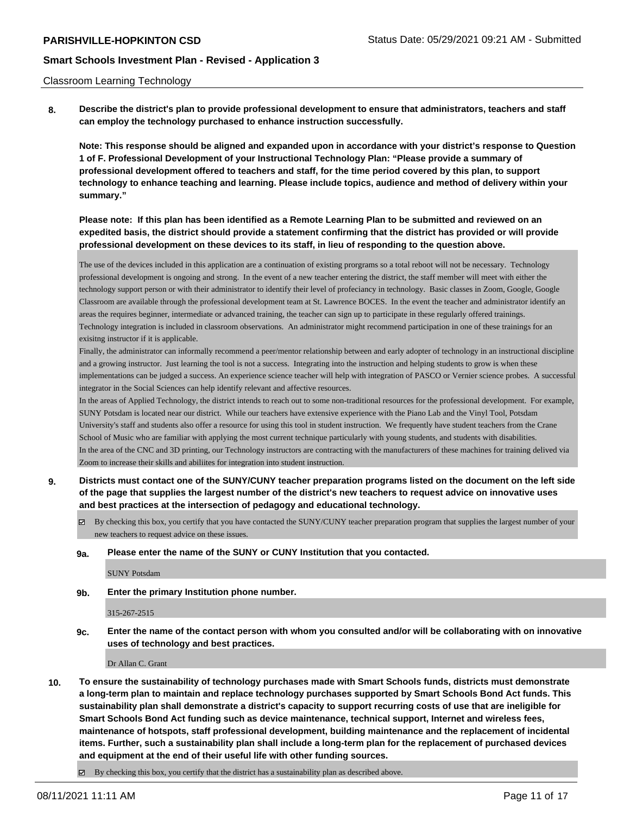#### Classroom Learning Technology

**8. Describe the district's plan to provide professional development to ensure that administrators, teachers and staff can employ the technology purchased to enhance instruction successfully.**

**Note: This response should be aligned and expanded upon in accordance with your district's response to Question 1 of F. Professional Development of your Instructional Technology Plan: "Please provide a summary of professional development offered to teachers and staff, for the time period covered by this plan, to support technology to enhance teaching and learning. Please include topics, audience and method of delivery within your summary."**

### **Please note: If this plan has been identified as a Remote Learning Plan to be submitted and reviewed on an expedited basis, the district should provide a statement confirming that the district has provided or will provide professional development on these devices to its staff, in lieu of responding to the question above.**

The use of the devices included in this application are a continuation of existing prorgrams so a total reboot will not be necessary. Technology professional development is ongoing and strong. In the event of a new teacher entering the district, the staff member will meet with either the technology support person or with their administrator to identify their level of profeciancy in technology. Basic classes in Zoom, Google, Google Classroom are available through the professional development team at St. Lawrence BOCES. In the event the teacher and administrator identify an areas the requires beginner, intermediate or advanced training, the teacher can sign up to participate in these regularly offered trainings. Technology integration is included in classroom observations. An administrator might recommend participation in one of these trainings for an exisitng instructor if it is applicable.

Finally, the administrator can informally recommend a peer/mentor relationship between and early adopter of technology in an instructional discipline and a growing instructor. Just learning the tool is not a success. Integrating into the instruction and helping students to grow is when these implementations can be judged a success. An experience science teacher will help with integration of PASCO or Vernier science probes. A successful integrator in the Social Sciences can help identify relevant and affective resources.

In the areas of Applied Technology, the district intends to reach out to some non-traditional resources for the professional development. For example, SUNY Potsdam is located near our district. While our teachers have extensive experience with the Piano Lab and the Vinyl Tool, Potsdam University's staff and students also offer a resource for using this tool in student instruction. We frequently have student teachers from the Crane School of Music who are familiar with applying the most current technique particularly with young students, and students with disabilities. In the area of the CNC and 3D printing, our Technology instructors are contracting with the manufacturers of these machines for training delived via Zoom to increase their skills and abiliites for integration into student instruction.

- **9. Districts must contact one of the SUNY/CUNY teacher preparation programs listed on the document on the left side of the page that supplies the largest number of the district's new teachers to request advice on innovative uses and best practices at the intersection of pedagogy and educational technology.**
	- By checking this box, you certify that you have contacted the SUNY/CUNY teacher preparation program that supplies the largest number of your new teachers to request advice on these issues.

#### **9a. Please enter the name of the SUNY or CUNY Institution that you contacted.**

SUNY Potsdam

**9b. Enter the primary Institution phone number.**

#### 315-267-2515

**9c. Enter the name of the contact person with whom you consulted and/or will be collaborating with on innovative uses of technology and best practices.**

Dr Allan C. Grant

- **10. To ensure the sustainability of technology purchases made with Smart Schools funds, districts must demonstrate a long-term plan to maintain and replace technology purchases supported by Smart Schools Bond Act funds. This sustainability plan shall demonstrate a district's capacity to support recurring costs of use that are ineligible for Smart Schools Bond Act funding such as device maintenance, technical support, Internet and wireless fees, maintenance of hotspots, staff professional development, building maintenance and the replacement of incidental items. Further, such a sustainability plan shall include a long-term plan for the replacement of purchased devices and equipment at the end of their useful life with other funding sources.**
	- $\boxtimes$  By checking this box, you certify that the district has a sustainability plan as described above.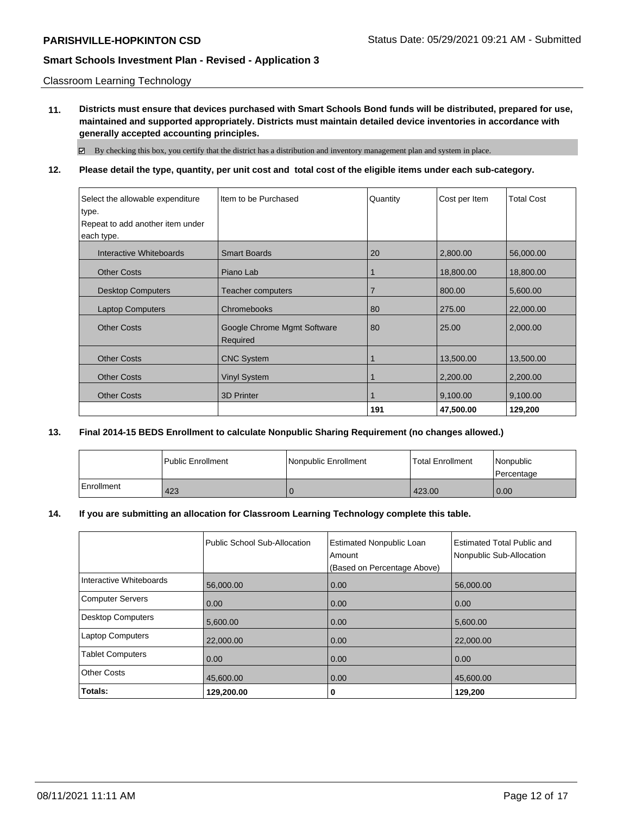Classroom Learning Technology

**11. Districts must ensure that devices purchased with Smart Schools Bond funds will be distributed, prepared for use, maintained and supported appropriately. Districts must maintain detailed device inventories in accordance with generally accepted accounting principles.**

By checking this box, you certify that the district has a distribution and inventory management plan and system in place.

### **12. Please detail the type, quantity, per unit cost and total cost of the eligible items under each sub-category.**

| Select the allowable expenditure | Item to be Purchased                    | Quantity       | Cost per Item | <b>Total Cost</b> |
|----------------------------------|-----------------------------------------|----------------|---------------|-------------------|
| type.                            |                                         |                |               |                   |
| Repeat to add another item under |                                         |                |               |                   |
| each type.                       |                                         |                |               |                   |
| Interactive Whiteboards          | <b>Smart Boards</b>                     | 20             | 2,800.00      | 56,000.00         |
| <b>Other Costs</b>               | Piano Lab                               |                | 18,800.00     | 18,800.00         |
| <b>Desktop Computers</b>         | Teacher computers                       | $\overline{7}$ | 800.00        | 5,600.00          |
| <b>Laptop Computers</b>          | Chromebooks                             | 80             | 275.00        | 22,000.00         |
| <b>Other Costs</b>               | Google Chrome Mgmt Software<br>Required | 80             | 25.00         | 2,000.00          |
| <b>Other Costs</b>               | <b>CNC System</b>                       |                | 13,500.00     | 13,500.00         |
| <b>Other Costs</b>               | <b>Vinyl System</b>                     |                | 2,200.00      | 2,200.00          |
| <b>Other Costs</b>               | <b>3D Printer</b>                       |                | 9,100.00      | 9,100.00          |
|                                  |                                         | 191            | 47,500.00     | 129,200           |

### **13. Final 2014-15 BEDS Enrollment to calculate Nonpublic Sharing Requirement (no changes allowed.)**

|            | <b>Public Enrollment</b> | Nonpublic Enrollment | <b>Total Enrollment</b> | Nonpublic<br>l Percentage |
|------------|--------------------------|----------------------|-------------------------|---------------------------|
| Enrollment | 423                      |                      | 423.00                  | 0.00                      |

### **14. If you are submitting an allocation for Classroom Learning Technology complete this table.**

|                         | Public School Sub-Allocation | <b>Estimated Nonpublic Loan</b><br>Amount<br>(Based on Percentage Above) | Estimated Total Public and<br>Nonpublic Sub-Allocation |
|-------------------------|------------------------------|--------------------------------------------------------------------------|--------------------------------------------------------|
| Interactive Whiteboards | 56,000.00                    | 0.00                                                                     | 56,000.00                                              |
| <b>Computer Servers</b> | 0.00                         | 0.00                                                                     | 0.00                                                   |
| Desktop Computers       | 5,600.00                     | 0.00                                                                     | 5,600.00                                               |
| <b>Laptop Computers</b> | 22,000.00                    | 0.00                                                                     | 22,000.00                                              |
| <b>Tablet Computers</b> | 0.00                         | 0.00                                                                     | 0.00                                                   |
| <b>Other Costs</b>      | 45,600.00                    | 0.00                                                                     | 45,600.00                                              |
| Totals:                 | 129,200.00                   | 0                                                                        | 129,200                                                |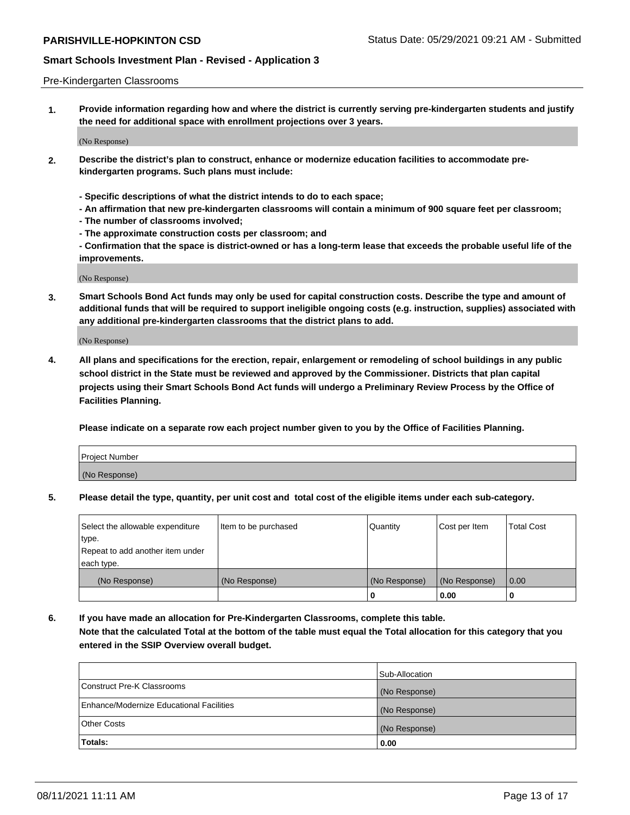#### Pre-Kindergarten Classrooms

**1. Provide information regarding how and where the district is currently serving pre-kindergarten students and justify the need for additional space with enrollment projections over 3 years.**

(No Response)

- **2. Describe the district's plan to construct, enhance or modernize education facilities to accommodate prekindergarten programs. Such plans must include:**
	- **Specific descriptions of what the district intends to do to each space;**
	- **An affirmation that new pre-kindergarten classrooms will contain a minimum of 900 square feet per classroom;**
	- **The number of classrooms involved;**
	- **The approximate construction costs per classroom; and**
	- **Confirmation that the space is district-owned or has a long-term lease that exceeds the probable useful life of the improvements.**

(No Response)

**3. Smart Schools Bond Act funds may only be used for capital construction costs. Describe the type and amount of additional funds that will be required to support ineligible ongoing costs (e.g. instruction, supplies) associated with any additional pre-kindergarten classrooms that the district plans to add.**

(No Response)

**4. All plans and specifications for the erection, repair, enlargement or remodeling of school buildings in any public school district in the State must be reviewed and approved by the Commissioner. Districts that plan capital projects using their Smart Schools Bond Act funds will undergo a Preliminary Review Process by the Office of Facilities Planning.**

**Please indicate on a separate row each project number given to you by the Office of Facilities Planning.**

| Project Number |  |
|----------------|--|
| (No Response)  |  |
|                |  |

**5. Please detail the type, quantity, per unit cost and total cost of the eligible items under each sub-category.**

| Select the allowable expenditure | Item to be purchased | Quantity      | Cost per Item | <b>Total Cost</b> |
|----------------------------------|----------------------|---------------|---------------|-------------------|
| type.                            |                      |               |               |                   |
| Repeat to add another item under |                      |               |               |                   |
| each type.                       |                      |               |               |                   |
| (No Response)                    | (No Response)        | (No Response) | (No Response) | 0.00              |
|                                  |                      | υ             | 0.00          |                   |

**6. If you have made an allocation for Pre-Kindergarten Classrooms, complete this table. Note that the calculated Total at the bottom of the table must equal the Total allocation for this category that you entered in the SSIP Overview overall budget.**

|                                          | Sub-Allocation |
|------------------------------------------|----------------|
| Construct Pre-K Classrooms               | (No Response)  |
| Enhance/Modernize Educational Facilities | (No Response)  |
| <b>Other Costs</b>                       | (No Response)  |
| Totals:                                  | 0.00           |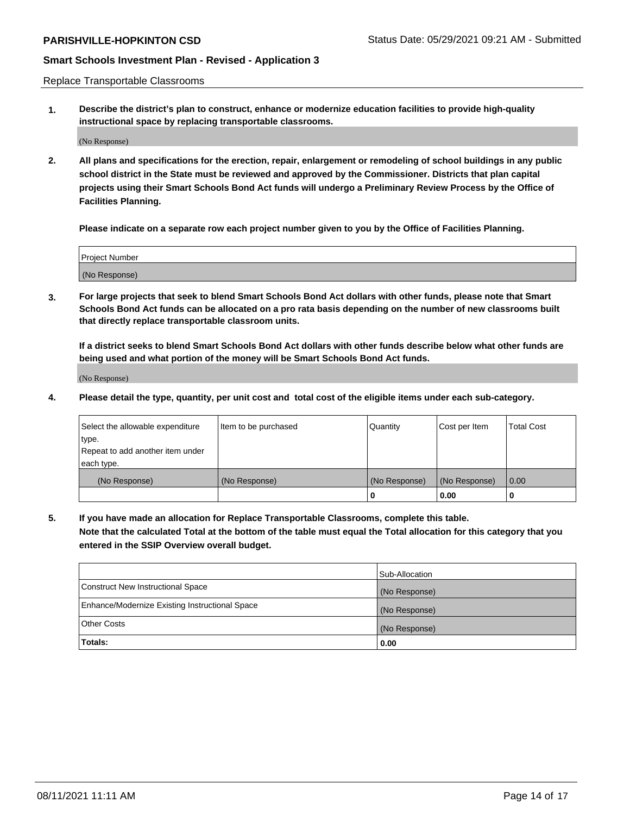Replace Transportable Classrooms

**1. Describe the district's plan to construct, enhance or modernize education facilities to provide high-quality instructional space by replacing transportable classrooms.**

(No Response)

**2. All plans and specifications for the erection, repair, enlargement or remodeling of school buildings in any public school district in the State must be reviewed and approved by the Commissioner. Districts that plan capital projects using their Smart Schools Bond Act funds will undergo a Preliminary Review Process by the Office of Facilities Planning.**

**Please indicate on a separate row each project number given to you by the Office of Facilities Planning.**

| Project Number |  |
|----------------|--|
|                |  |
|                |  |
|                |  |
|                |  |
| (No Response)  |  |
|                |  |
|                |  |
|                |  |

**3. For large projects that seek to blend Smart Schools Bond Act dollars with other funds, please note that Smart Schools Bond Act funds can be allocated on a pro rata basis depending on the number of new classrooms built that directly replace transportable classroom units.**

**If a district seeks to blend Smart Schools Bond Act dollars with other funds describe below what other funds are being used and what portion of the money will be Smart Schools Bond Act funds.**

(No Response)

**4. Please detail the type, quantity, per unit cost and total cost of the eligible items under each sub-category.**

| Select the allowable expenditure | Item to be purchased | Quantity      | Cost per Item | Total Cost |
|----------------------------------|----------------------|---------------|---------------|------------|
| ∣type.                           |                      |               |               |            |
| Repeat to add another item under |                      |               |               |            |
| each type.                       |                      |               |               |            |
| (No Response)                    | (No Response)        | (No Response) | (No Response) | 0.00       |
|                                  |                      | u             | 0.00          |            |

**5. If you have made an allocation for Replace Transportable Classrooms, complete this table. Note that the calculated Total at the bottom of the table must equal the Total allocation for this category that you entered in the SSIP Overview overall budget.**

|                                                | Sub-Allocation |
|------------------------------------------------|----------------|
| Construct New Instructional Space              | (No Response)  |
| Enhance/Modernize Existing Instructional Space | (No Response)  |
| Other Costs                                    | (No Response)  |
| Totals:                                        | 0.00           |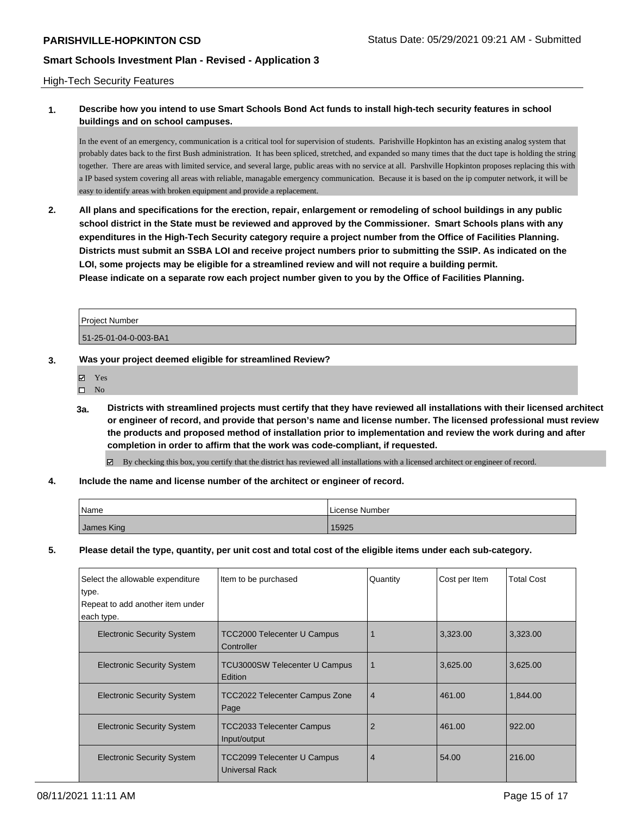#### High-Tech Security Features

### **1. Describe how you intend to use Smart Schools Bond Act funds to install high-tech security features in school buildings and on school campuses.**

In the event of an emergency, communication is a critical tool for supervision of students. Parishville Hopkinton has an existing analog system that probably dates back to the first Bush administration. It has been spliced, stretched, and expanded so many times that the duct tape is holding the string together. There are areas with limited service, and several large, public areas with no service at all. Parshville Hopkinton proposes replacing this with a IP based system covering all areas with reliable, managable emergency communication. Because it is based on the ip computer network, it will be easy to identify areas with broken equipment and provide a replacement.

**2. All plans and specifications for the erection, repair, enlargement or remodeling of school buildings in any public school district in the State must be reviewed and approved by the Commissioner. Smart Schools plans with any expenditures in the High-Tech Security category require a project number from the Office of Facilities Planning. Districts must submit an SSBA LOI and receive project numbers prior to submitting the SSIP. As indicated on the LOI, some projects may be eligible for a streamlined review and will not require a building permit. Please indicate on a separate row each project number given to you by the Office of Facilities Planning.**

Project Number 51-25-01-04-0-003-BA1

#### **3. Was your project deemed eligible for streamlined Review?**

- Yes
- $\square$  No
- **3a. Districts with streamlined projects must certify that they have reviewed all installations with their licensed architect or engineer of record, and provide that person's name and license number. The licensed professional must review the products and proposed method of installation prior to implementation and review the work during and after completion in order to affirm that the work was code-compliant, if requested.**
	- By checking this box, you certify that the district has reviewed all installations with a licensed architect or engineer of record.
- **4. Include the name and license number of the architect or engineer of record.**

| Name       | License Number |
|------------|----------------|
| James King | 15925          |

**5. Please detail the type, quantity, per unit cost and total cost of the eligible items under each sub-category.**

| Select the allowable expenditure<br>type.<br>Repeat to add another item under<br>each type. | Item to be purchased                                        | Quantity       | Cost per Item | <b>Total Cost</b> |
|---------------------------------------------------------------------------------------------|-------------------------------------------------------------|----------------|---------------|-------------------|
| <b>Electronic Security System</b>                                                           | <b>TCC2000 Telecenter U Campus</b><br>Controller            |                | 3,323.00      | 3,323.00          |
| <b>Electronic Security System</b>                                                           | <b>TCU3000SW Telecenter U Campus</b><br><b>Edition</b>      |                | 3,625.00      | 3,625.00          |
| <b>Electronic Security System</b>                                                           | TCC2022 Telecenter Campus Zone<br>Page                      | $\overline{4}$ | 461.00        | 1,844.00          |
| <b>Electronic Security System</b>                                                           | <b>TCC2033 Telecenter Campus</b><br>Input/output            | 2              | 461.00        | 922.00            |
| <b>Electronic Security System</b>                                                           | <b>TCC2099 Telecenter U Campus</b><br><b>Universal Rack</b> | $\overline{4}$ | 54.00         | 216.00            |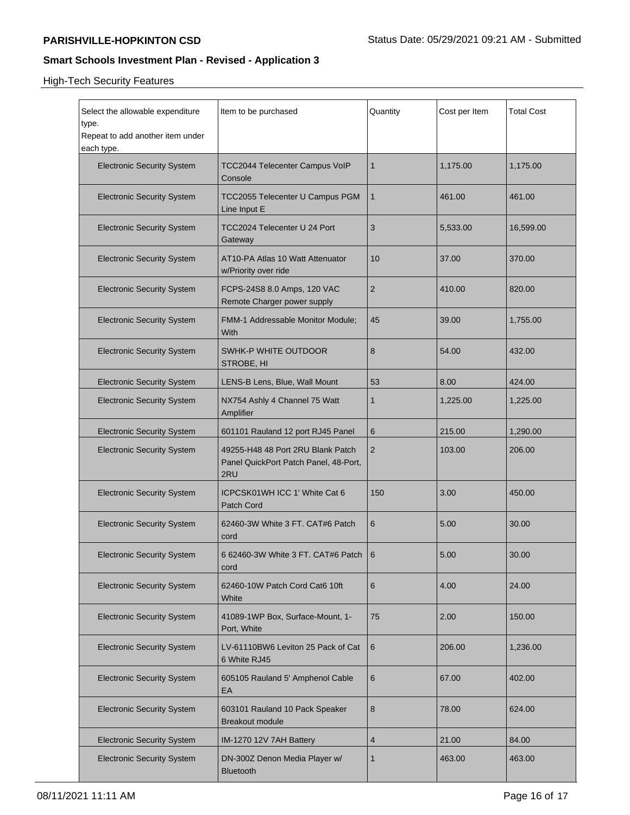High-Tech Security Features

| Select the allowable expenditure<br>type.<br>Repeat to add another item under | Item to be purchased                                                              | Quantity       | Cost per Item | <b>Total Cost</b> |
|-------------------------------------------------------------------------------|-----------------------------------------------------------------------------------|----------------|---------------|-------------------|
| each type.                                                                    |                                                                                   |                |               |                   |
| <b>Electronic Security System</b>                                             | <b>TCC2044 Telecenter Campus VoIP</b><br>Console                                  | 1              | 1,175.00      | 1,175.00          |
| <b>Electronic Security System</b>                                             | TCC2055 Telecenter U Campus PGM<br>Line Input E                                   | 1              | 461.00        | 461.00            |
| <b>Electronic Security System</b>                                             | TCC2024 Telecenter U 24 Port<br>Gateway                                           | 3              | 5,533.00      | 16,599.00         |
| <b>Electronic Security System</b>                                             | AT10-PA Atlas 10 Watt Attenuator<br>w/Priority over ride                          | 10             | 37.00         | 370.00            |
| <b>Electronic Security System</b>                                             | FCPS-24S8 8.0 Amps, 120 VAC<br>Remote Charger power supply                        | 2              | 410.00        | 820.00            |
| <b>Electronic Security System</b>                                             | FMM-1 Addressable Monitor Module;<br>With                                         | 45             | 39.00         | 1,755.00          |
| <b>Electronic Security System</b>                                             | SWHK-P WHITE OUTDOOR<br>STROBE, HI                                                | 8              | 54.00         | 432.00            |
| <b>Electronic Security System</b>                                             | LENS-B Lens, Blue, Wall Mount                                                     | 53             | 8.00          | 424.00            |
| <b>Electronic Security System</b>                                             | NX754 Ashly 4 Channel 75 Watt<br>Amplifier                                        | 1              | 1,225.00      | 1,225.00          |
| <b>Electronic Security System</b>                                             | 601101 Rauland 12 port RJ45 Panel                                                 | 6              | 215.00        | 1,290.00          |
| <b>Electronic Security System</b>                                             | 49255-H48 48 Port 2RU Blank Patch<br>Panel QuickPort Patch Panel, 48-Port,<br>2RU | $\overline{2}$ | 103.00        | 206.00            |
| <b>Electronic Security System</b>                                             | ICPCSK01WH ICC 1' White Cat 6<br>Patch Cord                                       | 150            | 3.00          | 450.00            |
| <b>Electronic Security System</b>                                             | 62460-3W White 3 FT. CAT#6 Patch<br>cord                                          | 6              | 5.00          | 30.00             |
| <b>Electronic Security System</b>                                             | 6 62460-3W White 3 FT. CAT#6 Patch  <br>cord                                      | 6              | 5.00          | 30.00             |
| <b>Electronic Security System</b>                                             | 62460-10W Patch Cord Cat6 10ft<br>White                                           | 6              | 4.00          | 24.00             |
| <b>Electronic Security System</b>                                             | 41089-1WP Box, Surface-Mount, 1-<br>Port, White                                   | 75             | 2.00          | 150.00            |
| <b>Electronic Security System</b>                                             | LV-61110BW6 Leviton 25 Pack of Cat<br>6 White RJ45                                | 6              | 206.00        | 1,236.00          |
| <b>Electronic Security System</b>                                             | 605105 Rauland 5' Amphenol Cable<br>EА                                            | 6              | 67.00         | 402.00            |
| <b>Electronic Security System</b>                                             | 603101 Rauland 10 Pack Speaker<br><b>Breakout module</b>                          | 8              | 78.00         | 624.00            |
| <b>Electronic Security System</b>                                             | IM-1270 12V 7AH Battery                                                           | 4              | 21.00         | 84.00             |
| <b>Electronic Security System</b>                                             | DN-300Z Denon Media Player w/<br><b>Bluetooth</b>                                 | 1              | 463.00        | 463.00            |